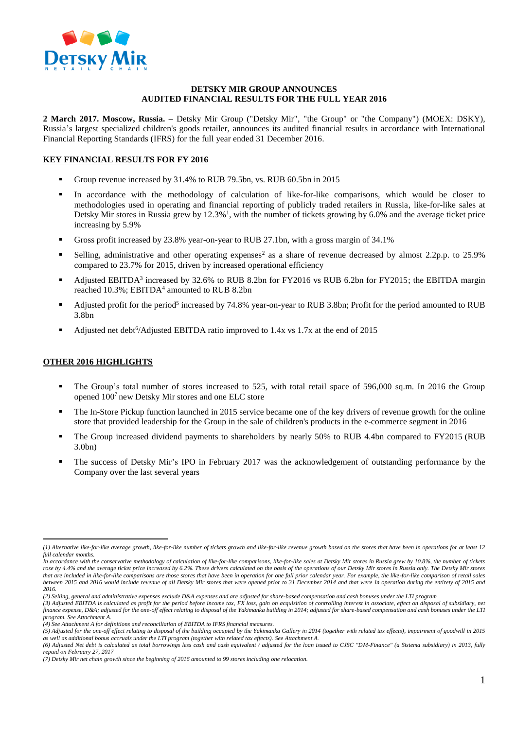

#### **DETSKY MIR GROUP ANNOUNCES AUDITED FINANCIAL RESULTS FOR THE FULL YEAR 2016**

**2 March 2017. Moscow, Russia. –** Detsky Mir Group ("Detsky Mir", "the Group" or "the Company") (MOEX: DSKY), Russia's largest specialized children's goods retailer, announces its audited financial results in accordance with International Financial Reporting Standards (IFRS) for the full year ended 31 December 2016.

# **KEY FINANCIAL RESULTS FOR FY 2016**

- Group revenue increased by 31.4% to RUB 79.5bn, vs. RUB 60.5bn in 2015
- In accordance with the methodology of calculation of like-for-like comparisons, which would be closer to methodologies used in operating and financial reporting of publicly traded retailers in Russia, like-for-like sales at Detsky Mir stores in Russia grew by 12.3%<sup>1</sup>, with the number of tickets growing by 6.0% and the average ticket price increasing by 5.9%
- Gross profit increased by 23.8% year-on-year to RUB 27.1bn, with a gross margin of 34.1%
- Selling, administrative and other operating expenses<sup>2</sup> as a share of revenue decreased by almost 2.2p.p. to 25.9% compared to 23.7% for 2015, driven by increased operational efficiency
- Adjusted EBITDA<sup>3</sup> increased by 32.6% to RUB 8.2bn for FY2016 vs RUB 6.2bn for FY2015; the EBITDA margin reached 10.3%; EBITDA<sup>4</sup> amounted to RUB 8.2bn
- Adjusted profit for the period<sup>5</sup> increased by 74.8% year-on-year to RUB 3.8bn; Profit for the period amounted to RUB 3.8bn
- Adjusted net debt<sup>6</sup>/Adjusted EBITDA ratio improved to 1.4x vs 1.7x at the end of 2015

## **OTHER 2016 HIGHLIGHTS**

 $\overline{a}$ 

- The Group's total number of stores increased to 525, with total retail space of 596,000 sq.m. In 2016 the Group opened 100<sup>7</sup> new Detsky Mir stores and one ELC store
- The In-Store Pickup function launched in 2015 service became one of the key drivers of revenue growth for the online store that provided leadership for the Group in the sale of children's products in the e-commerce segment in 2016
- The Group increased dividend payments to shareholders by nearly 50% to RUB 4.4bn compared to FY2015 (RUB 3.0bn)
- The success of Detsky Mir's IPO in February 2017 was the acknowledgement of outstanding performance by the Company over the last several years

*<sup>(1)</sup> Alternative like-for-like average growth, like-for-like number of tickets growth and like-for-like revenue growth based on the stores that have been in operations for at least 12 full calendar months.*

*In accordance with the conservative methodology of calculation of like-for-like comparisons, like-for-like sales at Detsky Mir stores in Russia grew by 10.8%, the number of tickets*  rose by 4.4% and the average ticket price increased by 6.2%. These drivers calculated on the basis of the operations of our Detsky Mir stores in Russia only. The Detsky Mir stores *that are included in like-for-like comparisons are those stores that have been in operation for one full prior calendar year. For example, the like-for-like comparison of retail sales*  between 2015 and 2016 would include revenue of all Detsky Mir stores that were opened prior to 31 December 2014 and that were in operation during the entirety of 2015 and *2016.*

*<sup>(2)</sup> Selling, general and administrative expenses exclude D&A expenses and are adjusted for share-based compensation and cash bonuses under the LTI program*

*<sup>(3)</sup> Adjusted EBITDA is calculated as profit for the period before income tax, FX loss, gain on acquisition of controlling interest in associate, effect on disposal of subsidiary, net finance expense, D&A; adjusted for the one-off effect relating to disposal of the Yakimanka building in 2014; adjusted for share-based compensation and cash bonuses under the LTI program. See Attachment A.*

*<sup>(4)</sup> See Attachment A for definitions and reconciliation of EBITDA to IFRS financial measures.*

*<sup>(5)</sup> Adjusted for the one-off effect relating to disposal of the building occupied by the Yakimanka Gallery in 2014 (together with related tax effects), impairment of goodwill in 2015 as well as additional bonus accruals under the LTI program (together with related tax effects). See Attachment A.* 

*<sup>(6)</sup> Adjusted Net debt is calculated as total borrowings less cash and cash equivalent / adjusted for the loan issued to CJSC "DM-Finance" (a Sistema subsidiary) in 2013, fully repaid on February 27, 2017* 

*<sup>(7)</sup> Detsky Mir net chain growth since the beginning of 2016 amounted to 99 stores including one relocation.*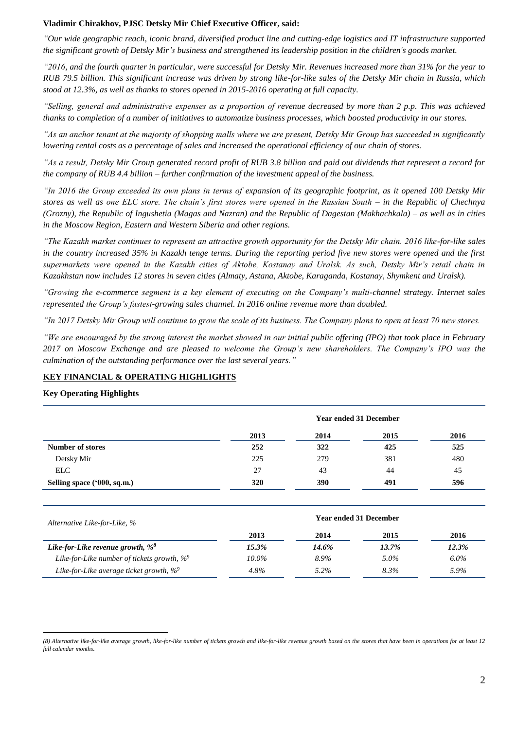### **Vladimir Chirakhov, PJSC Detsky Mir Chief Executive Officer, said:**

*"Our wide geographic reach, iconic brand, diversified product line and cutting-edge logistics and IT infrastructure supported the significant growth of Detsky Mir's business and strengthened its leadership position in the children's goods market.*

*"2016, and the fourth quarter in particular, were successful for Detsky Mir. Revenues increased more than 31% for the year to RUB 79.5 billion. This significant increase was driven by strong like-for-like sales of the Detsky Mir chain in Russia, which stood at 12.3%, as well as thanks to stores opened in 2015-2016 operating at full capacity.* 

*"Selling, general and administrative expenses as a proportion of revenue decreased by more than 2 p.p. This was achieved thanks to completion of a number of initiatives to automatize business processes, which boosted productivity in our stores.*

*"As an anchor tenant at the majority of shopping malls where we are present, Detsky Mir Group has succeeded in significantly lowering rental costs as a percentage of sales and increased the operational efficiency of our chain of stores.*

*"As a result, Detsky Mir Group generated record profit of RUB 3.8 billion and paid out dividends that represent a record for the company of RUB 4.4 billion – further confirmation of the investment appeal of the business.*

*"In 2016 the Group exceeded its own plans in terms of expansion of its geographic footprint, as it opened 100 Detsky Mir stores as well as one ELC store. The chain's first stores were opened in the Russian South – in the Republic of Chechnya (Grozny), the Republic of Ingushetia (Magas and Nazran) and the Republic of Dagestan (Makhachkala) – as well as in cities in the Moscow Region, Eastern and Western Siberia and other regions.*

*"The Kazakh market continues to represent an attractive growth opportunity for the Detsky Mir chain. 2016 like-for-like sales in the country increased 35% in Kazakh tenge terms. During the reporting period five new stores were opened and the first supermarkets were opened in the Kazakh cities of Aktobe, Kostanay and Uralsk. As such, Detsky Mir's retail chain in Kazakhstan now includes 12 stores in seven cities (Almaty, Astana, Aktobe, Karaganda, Kostanay, Shymkent and Uralsk).*

*"Growing the e-commerce segment is a key element of executing on the Company's multi-channel strategy. Internet sales represented the Group's fastest-growing sales channel. In 2016 online revenue more than doubled.*

*"In 2017 Detsky Mir Group will continue to grow the scale of its business. The Company plans to open at least 70 new stores.* 

*"We are encouraged by the strong interest the market showed in our initial public offering (IPO) that took place in February 2017 on Moscow Exchange and are pleased to welcome the Group's new shareholders. The Company's IPO was the culmination of the outstanding performance over the last several years."*

## **KEY FINANCIAL & OPERATING HIGHLIGHTS**

**Key Operating Highlights** 

 $\overline{a}$ 

| <b>Year ended 31 December</b> |      |      |      |
|-------------------------------|------|------|------|
| 2013                          | 2014 | 2015 | 2016 |
| 252                           | 322  | 425  | 525  |
| 225                           | 279  | 381  | 480  |
| 27                            | 43   | 44   | 45   |
| 320                           | 390  | 491  | 596  |
|                               |      |      |      |

| Alternative Like-for-Like, %                   | <b>Year ended 31 December</b> |         |       |         |  |
|------------------------------------------------|-------------------------------|---------|-------|---------|--|
|                                                | 2013                          | 2014    | 2015  | 2016    |  |
| Like-for-Like revenue growth, $\%^8$           | 15.3%                         | 14.6%   | 13.7% | 12.3%   |  |
| Like-for-Like number of tickets growth, $\%^9$ | 10.0%                         | 8.9%    | 5.0%  | $6.0\%$ |  |
| Like-for-Like average ticket growth, $\%^9$    | 4.8%                          | $5.2\%$ | 8.3%  | 5.9%    |  |

*<sup>(8)</sup> Alternative like-for-like average growth, like-for-like number of tickets growth and like-for-like revenue growth based on the stores that have been in operations for at least 12 full calendar months.*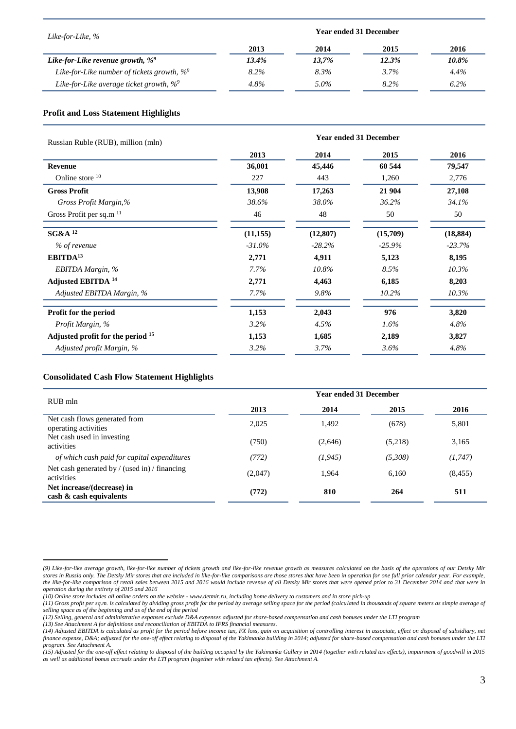| Like-for-Like, %                               | <b>Year ended 31 December</b> |       |       |         |
|------------------------------------------------|-------------------------------|-------|-------|---------|
|                                                | 2013                          | 2014  | 2015  | 2016    |
| Like-for-Like revenue growth, $\%^9$           | 13.4%                         | 13,7% | 12.3% | 10.8%   |
| Like-for-Like number of tickets growth, $\%^9$ | $8.2\%$                       | 8.3%  | 3.7%  | 4.4%    |
| Like-for-Like average ticket growth, $\%^9$    | 4.8%                          | 5.0%  | 8.2%  | $6.2\%$ |

## **Profit and Loss Statement Highlights**

| Russian Ruble (RUB), million (mln)           | <b>Year ended 31 December</b> |           |          |           |
|----------------------------------------------|-------------------------------|-----------|----------|-----------|
|                                              | 2013                          | 2014      | 2015     | 2016      |
| Revenue                                      | 36,001                        | 45,446    | 60 544   | 79,547    |
| Online store 10                              | 227                           | 443       | 1,260    | 2,776     |
| <b>Gross Profit</b>                          | 13,908                        | 17,263    | 21 904   | 27,108    |
| Gross Profit Margin,%                        | 38.6%                         | 38.0%     | 36.2%    | 34.1%     |
| Gross Profit per sq.m <sup>11</sup>          | 46                            | 48        | 50       | 50        |
| <b>SG&amp;A</b> <sup>12</sup>                | (11, 155)                     | (12, 807) | (15,709) | (18, 884) |
| % of revenue                                 | $-31.0\%$                     | $-28.2\%$ | $-25.9%$ | $-23.7%$  |
| EBITDA <sup>13</sup>                         | 2,771                         | 4,911     | 5,123    | 8,195     |
| EBITDA Margin, %                             | 7.7%                          | 10.8%     | 8.5%     | 10.3%     |
| Adjusted EBITDA <sup>14</sup>                | 2,771                         | 4,463     | 6,185    | 8,203     |
| Adjusted EBITDA Margin, %                    | 7.7%                          | $9.8\%$   | 10.2%    | 10.3%     |
| Profit for the period                        | 1,153                         | 2,043     | 976      | 3,820     |
| Profit Margin, %                             | 3.2%                          | 4.5%      | $1.6\%$  | 4.8%      |
| Adjusted profit for the period <sup>15</sup> | 1,153                         | 1,685     | 2,189    | 3,827     |
| Adjusted profit Margin, %                    | 3.2%                          | 3.7%      | 3.6%     | 4.8%      |

## **Consolidated Cash Flow Statement Highlights**

 $\overline{a}$ 

| RUB mln                                                     | <b>Year ended 31 December</b> |          |         |          |
|-------------------------------------------------------------|-------------------------------|----------|---------|----------|
|                                                             | 2013                          | 2014     | 2015    | 2016     |
| Net cash flows generated from<br>operating activities       | 2.025                         | 1.492    | (678)   | 5,801    |
| Net cash used in investing<br>activities                    | (750)                         | (2,646)  | (5,218) | 3,165    |
| of which cash paid for capital expenditures                 | (772)                         | (1, 945) | (5,308) | (1, 747) |
| Net cash generated by / (used in) / financing<br>activities | (2,047)                       | 1,964    | 6.160   | (8, 455) |
| Net increase/(decrease) in<br>$\cosh \& \cosh$ equivalents  | (772)                         | 810      | 264     | 511      |

*<sup>(9)</sup> Like-for-like average growth, like-for-like number of tickets growth and like-for-like revenue growth as measures calculated on the basis of the operations of our Detsky Mir stores in Russia only. The Detsky Mir stores that are included in like-for-like comparisons are those stores that have been in operation for one full prior calendar year. For example, the like-for-like comparison of retail sales between 2015 and 2016 would include revenue of all Detsky Mir stores that were opened prior to 31 December 2014 and that were in operation during the entirety of 2015 and 2016*

*<sup>(10)</sup> Online store includes all online orders on the website - www.detmir.ru, including home delivery to customers and in store pick-up*

*<sup>(11)</sup> Gross profit per sq.m. is calculated by dividing gross profit for the period by average selling space for the period (calculated in thousands of square meters as simple average of selling space as of the beginning and as of the end of the period*

*<sup>(12)</sup> Selling, general and administrative expanses exclude D&A expenses adjusted for share-based compensation and cash bonuses under the LTI program*

*<sup>(13)</sup> See Attachment A for definitions and reconciliation of EBITDA to IFRS financial measures.*

*<sup>(14)</sup> Adjusted EBITDA is calculated as profit for the period before income tax, FX loss, gain on acquisition of controlling interest in associate, effect on disposal of subsidiary, net finance expense, D&A; adjusted for the one-off effect relating to disposal of the Yakimanka building in 2014; adjusted for share-based compensation and cash bonuses under the LTI program. See Attachment A.*

*<sup>(15)</sup> Adjusted for the one-off effect relating to disposal of the building occupied by the Yakimanka Gallery in 2014 (together with related tax effects), impairment of goodwill in 2015 as well as additional bonus accruals under the LTI program (together with related tax effects). See Attachment A.*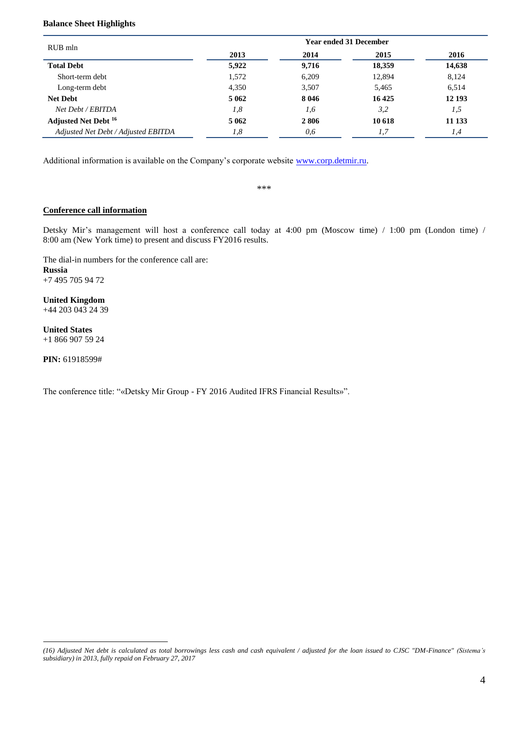# **Balance Sheet Highlights**

| RUB mln                                | <b>Year ended 31 December</b> |         |        |        |  |
|----------------------------------------|-------------------------------|---------|--------|--------|--|
|                                        | 2013                          | 2014    | 2015   | 2016   |  |
| <b>Total Debt</b>                      | 5,922                         | 9,716   | 18,359 | 14,638 |  |
| Short-term debt                        | 1,572                         | 6,209   | 12,894 | 8,124  |  |
| Long-term debt                         | 4,350                         | 3,507   | 5,465  | 6,514  |  |
| <b>Net Debt</b>                        | 5 0 6 2                       | 8 0 4 6 | 16425  | 12 193 |  |
| Net Debt / EBITDA                      | 1,8                           | 1,6     | 3,2    | 1,5    |  |
| <b>Adjusted Net Debt</b> <sup>16</sup> | 5 0 6 2                       | 2806    | 10 618 | 11 133 |  |
| Adjusted Net Debt / Adjusted EBITDA    | 1,8                           | 0,6     | 1,7    | 1,4    |  |

Additional information is available on the Company's corporate website [www.corp.detmir.ru.](http://www.corp.detmir.ru/)

\*\*\*

### **Conference call information**

Detsky Mir's management will host a conference call today at 4:00 pm (Moscow time) / 1:00 pm (London time) / 8:00 am (New York time) to present and discuss FY2016 results.

The dial-in numbers for the conference call are: **Russia** +7 495 705 94 72

**United Kingdom**  +44 203 043 24 39

**United States** +1 866 907 59 24

**PIN:** 61918599#

 $\overline{a}$ 

The conference title: "«Detsky Mir Group - FY 2016 Audited IFRS Financial Results»".

*<sup>(16)</sup> Adjusted Net debt is calculated as total borrowings less cash and cash equivalent / adjusted for the loan issued to CJSC "DM-Finance" (Sistema's subsidiary) in 2013, fully repaid on February 27, 2017*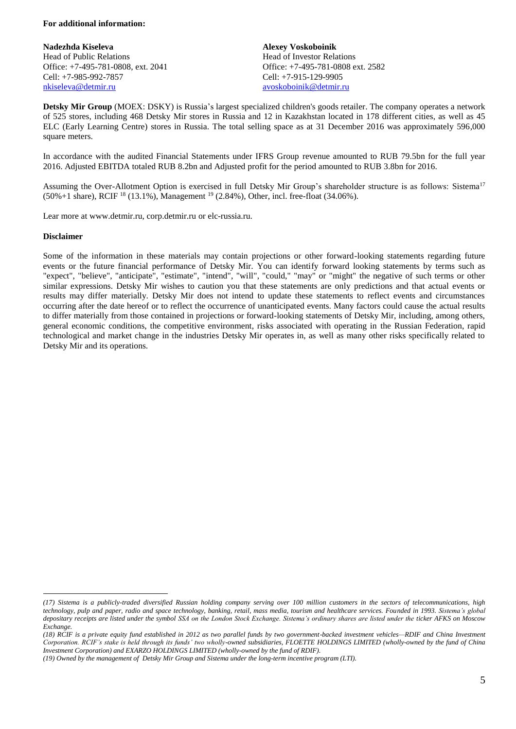### **For additional information:**

**Nadezhda Kiseleva** Head of Public Relations Office: +7-495-781-0808, ext. 2041 Cell: +7-985-992-7857 [nkiseleva@detmir.ru](mailto:nkiseleva@detmir.ru)

**Alexey Voskoboinik** Head of Investor Relations Office: +7-495-781-0808 ext. 2582 Cell: +7-915-129-9905 [avoskoboinik@detmir.ru](mailto:avoskoboinik@detmir.ru)

**Detsky Mir Group** (MOEX: DSKY) is Russia's largest specialized children's goods retailer. The company operates a network of 525 stores, including 468 Detsky Mir stores in Russia and 12 in Kazakhstan located in 178 different cities, as well as 45 ELC (Early Learning Centre) stores in Russia. The total selling space as at 31 December 2016 was approximately 596,000 square meters.

In accordance with the audited Financial Statements under IFRS Group revenue amounted to RUB 79.5bn for the full year 2016. Adjusted EBITDA totaled RUB 8.2bn and Adjusted profit for the period amounted to RUB 3.8bn for 2016.

Assuming the Over-Allotment Option is exercised in full Detsky Mir Group's shareholder structure is as follows: Sistema<sup>17</sup>  $(50\% + 1 \text{ share})$ , RCIF <sup>18</sup> (13.1%), Management <sup>19</sup> (2.84%), Other, incl. free-float (34.06%).

Lear more at www.detmir.ru, corp.detmir.ru or elc-russia.ru.

### **Disclaimer**

 $\overline{a}$ 

Some of the information in these materials may contain projections or other forward-looking statements regarding future events or the future financial performance of Detsky Mir. You can identify forward looking statements by terms such as "expect", "believe", "anticipate", "estimate", "intend", "will", "could," "may" or "might" the negative of such terms or other similar expressions. Detsky Mir wishes to caution you that these statements are only predictions and that actual events or results may differ materially. Detsky Mir does not intend to update these statements to reflect events and circumstances occurring after the date hereof or to reflect the occurrence of unanticipated events. Many factors could cause the actual results to differ materially from those contained in projections or forward-looking statements of Detsky Mir, including, among others, general economic conditions, the competitive environment, risks associated with operating in the Russian Federation, rapid technological and market change in the industries Detsky Mir operates in, as well as many other risks specifically related to Detsky Mir and its operations.

*<sup>(17)</sup> Sistema is a publicly-traded diversified Russian holding company serving over 100 million customers in the sectors of telecommunications, high technology, pulp and paper, radio and space technology, banking, retail, mass media, tourism and healthcare services. Founded in 1993. Sistema's global depositary receipts are listed under the symbol SSA on the London Stock Exchange. Sistema's ordinary shares are listed under the ticker AFKS on Moscow Exchange.*

*<sup>(18)</sup> RCIF is a private equity fund established in 2012 as two parallel funds by two government-backed investment vehicles—RDIF and China Investment Corporation. RCIF's stake is held through its funds' two wholly-owned subsidiaries, FLOETTE HOLDINGS LIMITED (wholly-owned by the fund of China Investment Corporation) and EXARZO HOLDINGS LIMITED (wholly-owned by the fund of RDIF).*

*<sup>(19)</sup> Owned by the management of Detsky Mir Group and Sistema under the long-term incentive program (LTI).*